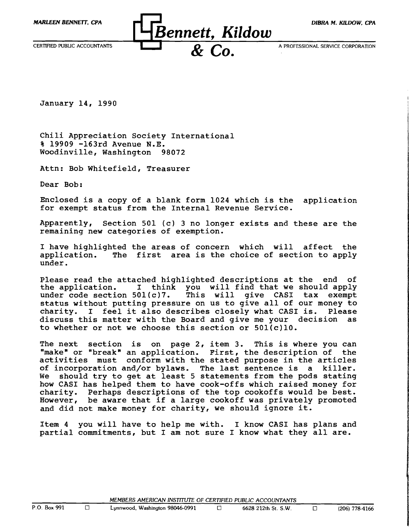

January 14, 1990

Chili Appreciation Society International % 19909 -163rd Avenue N.E. Woodinville, Washington 98072

Attn: Bob Whitefield, Treasurer

Dear Bob:

Enclosed is a copy of a blank form 1024 which is the application for exempt status from the Internal Revenue Service.

Apparently, Section 501 (c) 3 no longer exists and these are the remaining new categories of exemption.

I have highlighted the areas of concern which will affect the application. The first area is the choice of section to apply The first area is the choice of section to apply under.

Please read the attached highlighted descriptions at the end of<br>the application. I think you will find that we should apply the application. I think you will find that we should apply under code section  $501(c)7$ . This will give CASI tax exempt This will give CASI tax exempt status without putting pressure on us to give all of our money to charity. I feel it also describes closely what CASI is. Please charity. I feel it also describes closely what CASI is. discuss this matter with the Board and give me your decision as to whether or not we choose this section or  $501(c)10$ .

The next section is on page 2, item 3. This is where you can "make" or "break" an application. First, the description of the activities must conform with the stated purpose in the articles of incorporation and/or bylaws. The last sentence is a killer.<br>We should try to get at least 5 statements from the pods stating should try to get at least 5 statements from the pods stating how CASI has helped them to have cook-offs which raised money for charity. Perhaps descriptions of the top cookoffs would be best. However, be aware that if a large cookoff was privately promoted and did not make money for charity, we should ignore it.

Item 4 you will have to help me with. I know CASI has plans and partial commitments, but I am not sure I know what they all are.